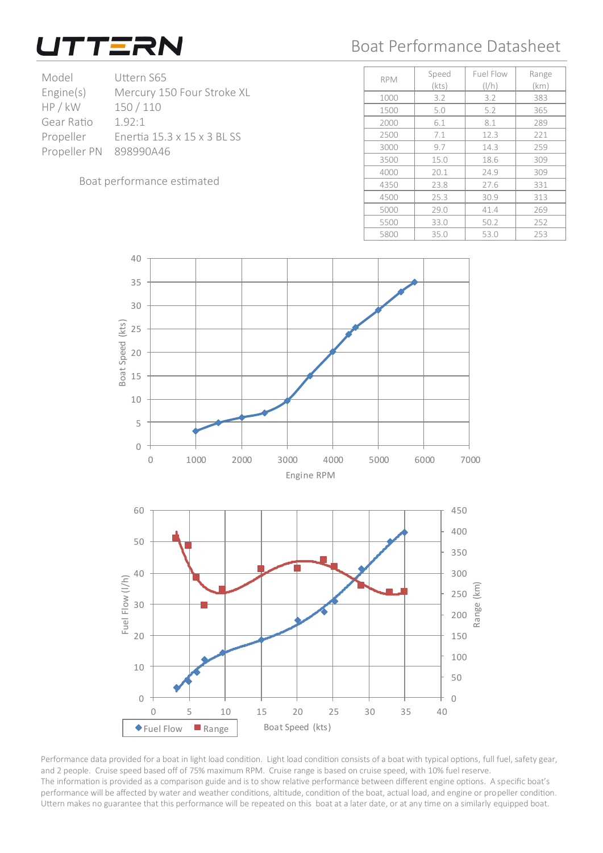

## Boat Performance Datasheet

| Model                  | Uttern S65                  |  |
|------------------------|-----------------------------|--|
| Engine(s)              | Mercury 150 Four Stroke XL  |  |
| HP / kW                | 150/110                     |  |
| Gear Ratio             | 192.1                       |  |
| Propeller              | Enertia 15.3 x 15 x 3 BL SS |  |
| Propeller PN 898990A46 |                             |  |
|                        |                             |  |

Boat performance estimated

|            |       | Fuel Flow                  |       |
|------------|-------|----------------------------|-------|
| <b>RPM</b> | Speed |                            | Range |
|            | (kts) | $\left(\frac{1}{h}\right)$ | (km)  |
| 1000       | 3.2   | 3.2                        | 383   |
| 1500       | 5.0   | 5.2                        | 365   |
| 2000       | 6.1   | 8.1                        | 289   |
| 2500       | 7.1   | 12.3                       | 221   |
| 3000       | 9.7   | 14.3                       | 259   |
| 3500       | 15.0  | 18.6                       | 309   |
| 4000       | 20.1  | 24.9                       | 309   |
| 4350       | 23.8  | 27.6                       | 331   |
| 4500       | 25.3  | 30.9                       | 313   |
| 5000       | 29.0  | 41.4                       | 269   |
| 5500       | 33.0  | 50.2                       | 252   |
| 5800       | 35.0  | 53.0                       | 253   |



Performance data provided for a boat in light load condition. Light load condition consists of a boat with typical options, full fuel, safety gear, and 2 people. Cruise speed based off of 75% maximum RPM. Cruise range is based on cruise speed, with 10% fuel reserve. The information is provided as a comparison guide and is to show relative performance between different engine options. A specific boat's performance will be affected by water and weather conditions, altitude, condition of the boat, actual load, and engine or propeller condition. Uttern makes no guarantee that this performance will be repeated on this boat at a later date, or at any time on a similarly equipped boat.